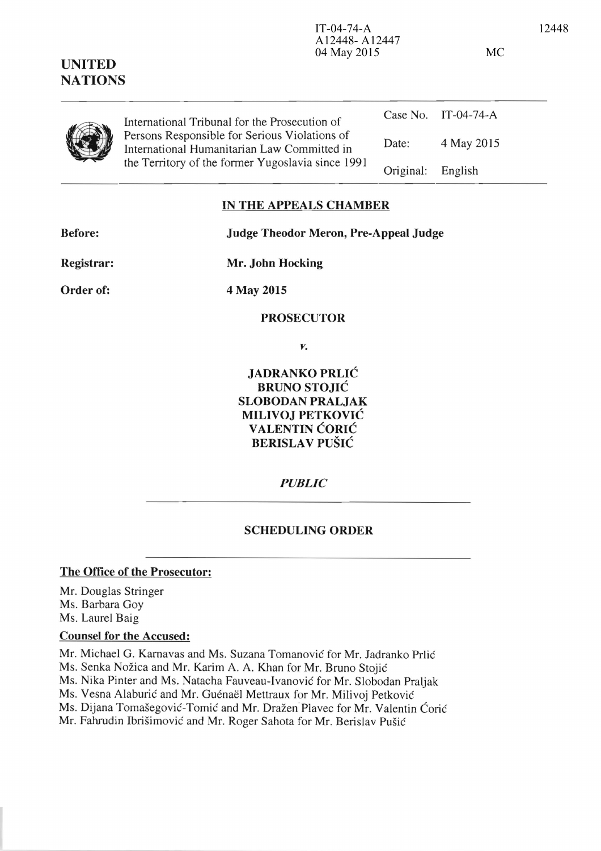| <b>NATIONS</b> |                                                                                                                                                                                                    |           |                     |
|----------------|----------------------------------------------------------------------------------------------------------------------------------------------------------------------------------------------------|-----------|---------------------|
|                | International Tribunal for the Prosecution of<br>Persons Responsible for Serious Violations of<br>International Humanitarian Law Committed in<br>the Territory of the former Yugoslavia since 1991 |           | Case No. IT-04-74-A |
|                |                                                                                                                                                                                                    | Date:     | 4 May 2015          |
|                |                                                                                                                                                                                                    | Original: | English             |
|                |                                                                                                                                                                                                    |           |                     |

# **IN THE APPEALS CHAMBER**

**UNITED** 

**Before: Judge Theodor Meron, Pre-Appeal Judge** 

A12448- A12447

04 May 2015 MC

**Mr. John Hocking** 

**Order of:** 

**Registrar:** 

**4 May 2015** 

# **PROSECUTOR**

*Y.* 

**JADRANKO PRLIC BRUNO STOJIC SLOBODAN PRALJAK MILIVOJ PETKOVIC VALENTIN CORIC BERISLA V PUSIC** 

*PUBLIC* 

# **SCHEDULING ORDER**

# **The Office of the Prosecutor:**

Mr. Douglas Stringer Ms. Barbara Goy Ms. Laurel Baig

#### **Counsel for the Accused:**

Mr. Michael G. Karnavas and Ms. Suzana Tomanovic for Mr. ladranko Prlic Ms. Senka Nožica and Mr. Karim A. A. Khan for Mr. Bruno Stojić Ms. Nika Pinter and Ms. Natacha Fauveau-Ivanovie for Mr. Slobodan Praljak Ms. Vesna Alaburić and Mr. Guénaël Mettraux for Mr. Milivoj Petković Ms. Dijana Tomašegović-Tomić and Mr. Dražen Plavec for Mr. Valentin Ćorić Mr. Fahrudin Ibrišimović and Mr. Roger Sahota for Mr. Berislav Pušić